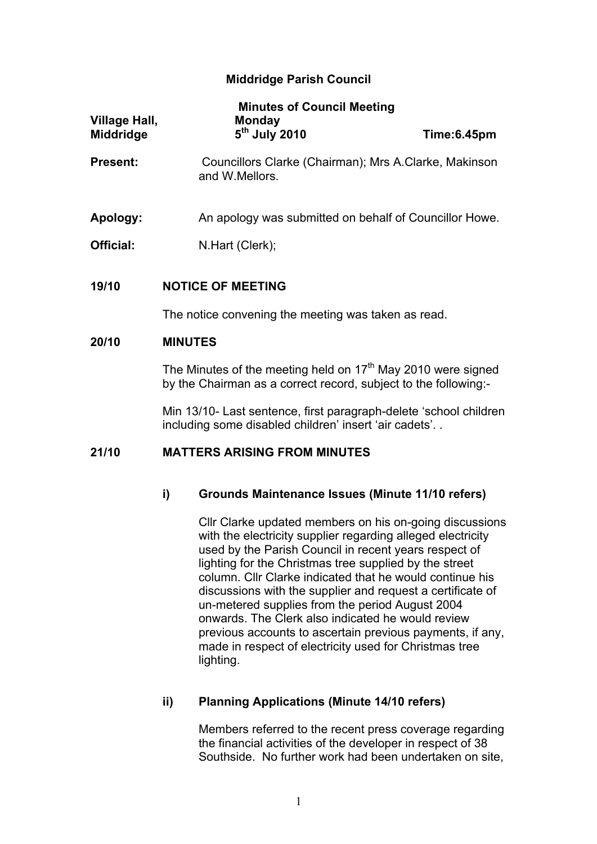## **Middridge Parish Council**

| <b>Village Hall,</b><br><b>Middridge</b> | <b>Minutes of Council Meeting</b><br><b>Monday</b><br>5 <sup>th</sup> July 2010                                                             | Time:6.45pm |  |
|------------------------------------------|---------------------------------------------------------------------------------------------------------------------------------------------|-------------|--|
| <b>Present:</b>                          | Councillors Clarke (Chairman); Mrs A.Clarke, Makinson<br>and W.Mellors.                                                                     |             |  |
| Apology:                                 | An apology was submitted on behalf of Councillor Howe.                                                                                      |             |  |
| Official:                                | N.Hart (Clerk);                                                                                                                             |             |  |
| 19/10                                    | <b>NOTICE OF MEETING</b>                                                                                                                    |             |  |
|                                          | The notice convening the meeting was taken as read.                                                                                         |             |  |
| 20/10                                    | <b>MINUTES</b>                                                                                                                              |             |  |
|                                          | The Minutes of the meeting held on 17 <sup>th</sup> May 2010 were signed<br>by the Chairman as a correct record, subject to the following:- |             |  |
|                                          | Min 13/10- Last sentence, first paragraph-delete 'school children<br>including some disabled children' insert 'air cadets'                  |             |  |
| 21/10                                    | <b>MATTERS ARISING FROM MINUTES</b>                                                                                                         |             |  |
|                                          |                                                                                                                                             |             |  |

#### **i) Grounds Maintenance Issues (Minute 11/10 refers)**

Cllr Clarke updated members on his on-going discussions with the electricity supplier regarding alleged electricity used by the Parish Council in recent years respect of lighting for the Christmas tree supplied by the street column. Cllr Clarke indicated that he would continue his discussions with the supplier and request a certificate of un-metered supplies from the period August 2004 onwards. The Clerk also indicated he would review previous accounts to ascertain previous payments, if any, made in respect of electricity used for Christmas tree lighting.

# **ii) Planning Applications (Minute 14/10 refers)**

Members referred to the recent press coverage regarding the financial activities of the developer in respect of 38 Southside. No further work had been undertaken on site,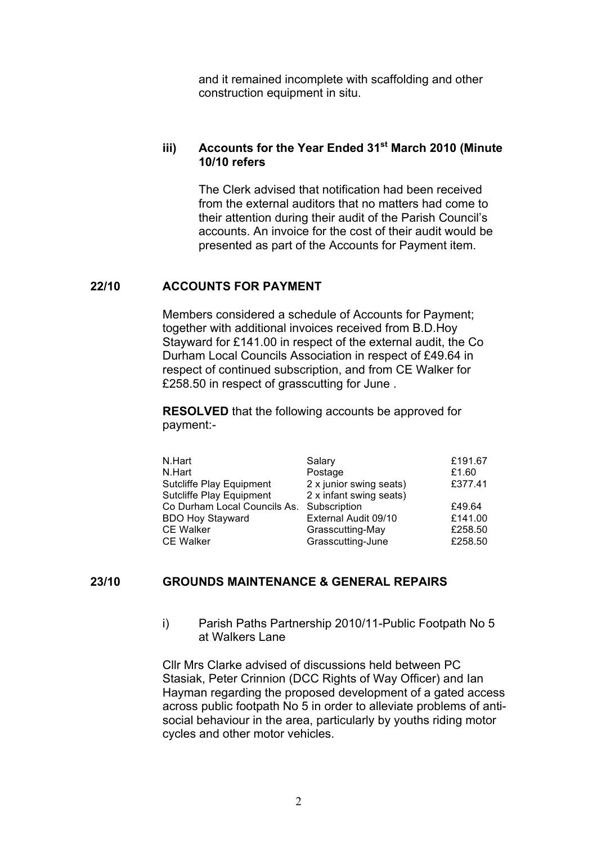and it remained incomplete with scaffolding and other construction equipment in situ.

#### **iii) Accounts for the Year Ended 31st March 2010 (Minute 10/10 refers**

The Clerk advised that notification had been received from the external auditors that no matters had come to their attention during their audit of the Parish Council's accounts. An invoice for the cost of their audit would be presented as part of the Accounts for Payment item.

#### **22/10 ACCOUNTS FOR PAYMENT**

Members considered a schedule of Accounts for Payment; together with additional invoices received from B.D.Hoy Stayward for £141.00 in respect of the external audit, the Co Durham Local Councils Association in respect of £49.64 in respect of continued subscription, and from CE Walker for £258.50 in respect of grasscutting for June .

**RESOLVED** that the following accounts be approved for payment:-

| N.Hart                       | Salary                  | £191.67 |
|------------------------------|-------------------------|---------|
| N.Hart                       | Postage                 | £1.60   |
| Sutcliffe Play Equipment     | 2 x junior swing seats) | £377.41 |
| Sutcliffe Play Equipment     | 2 x infant swing seats) |         |
| Co Durham Local Councils As. | Subscription            | £49.64  |
| <b>BDO Hoy Stayward</b>      | External Audit 09/10    | £141.00 |
| <b>CE Walker</b>             | Grasscutting-May        | £258.50 |
| <b>CE Walker</b>             | Grasscutting-June       | £258.50 |

#### **23/10 GROUNDS MAINTENANCE & GENERAL REPAIRS**

i) Parish Paths Partnership 2010/11-Public Footpath No 5 at Walkers Lane

Cllr Mrs Clarke advised of discussions held between PC Stasiak, Peter Crinnion (DCC Rights of Way Officer) and Ian Hayman regarding the proposed development of a gated access across public footpath No 5 in order to alleviate problems of antisocial behaviour in the area, particularly by youths riding motor cycles and other motor vehicles.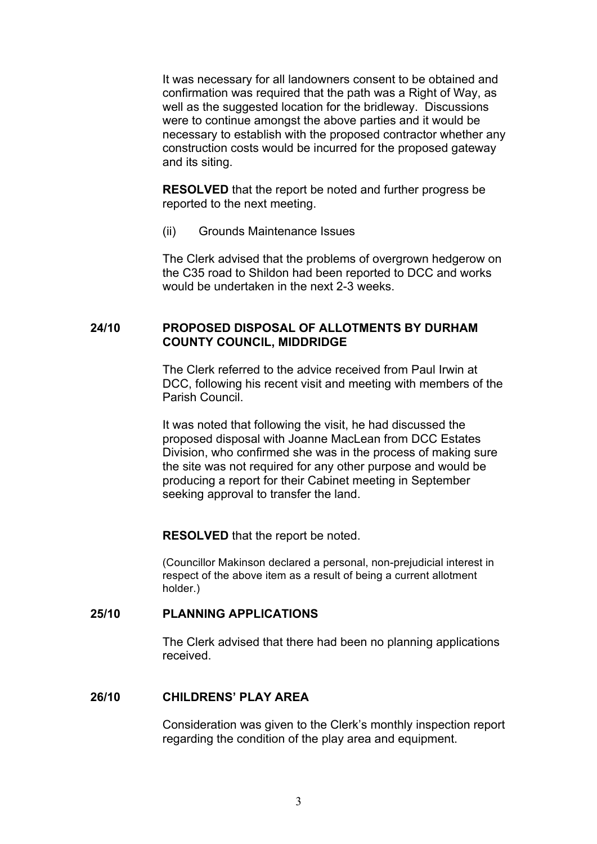It was necessary for all landowners consent to be obtained and confirmation was required that the path was a Right of Way, as well as the suggested location for the bridleway. Discussions were to continue amongst the above parties and it would be necessary to establish with the proposed contractor whether any construction costs would be incurred for the proposed gateway and its siting.

**RESOLVED** that the report be noted and further progress be reported to the next meeting.

(ii) Grounds Maintenance Issues

The Clerk advised that the problems of overgrown hedgerow on the C35 road to Shildon had been reported to DCC and works would be undertaken in the next 2-3 weeks.

## **24/10 PROPOSED DISPOSAL OF ALLOTMENTS BY DURHAM COUNTY COUNCIL, MIDDRIDGE**

The Clerk referred to the advice received from Paul Irwin at DCC, following his recent visit and meeting with members of the Parish Council.

It was noted that following the visit, he had discussed the proposed disposal with Joanne MacLean from DCC Estates Division, who confirmed she was in the process of making sure the site was not required for any other purpose and would be producing a report for their Cabinet meeting in September seeking approval to transfer the land.

#### **RESOLVED** that the report be noted.

(Councillor Makinson declared a personal, non-prejudicial interest in respect of the above item as a result of being a current allotment holder.)

#### **25/10 PLANNING APPLICATIONS**

The Clerk advised that there had been no planning applications received.

#### **26/10 CHILDRENS' PLAY AREA**

Consideration was given to the Clerk's monthly inspection report regarding the condition of the play area and equipment.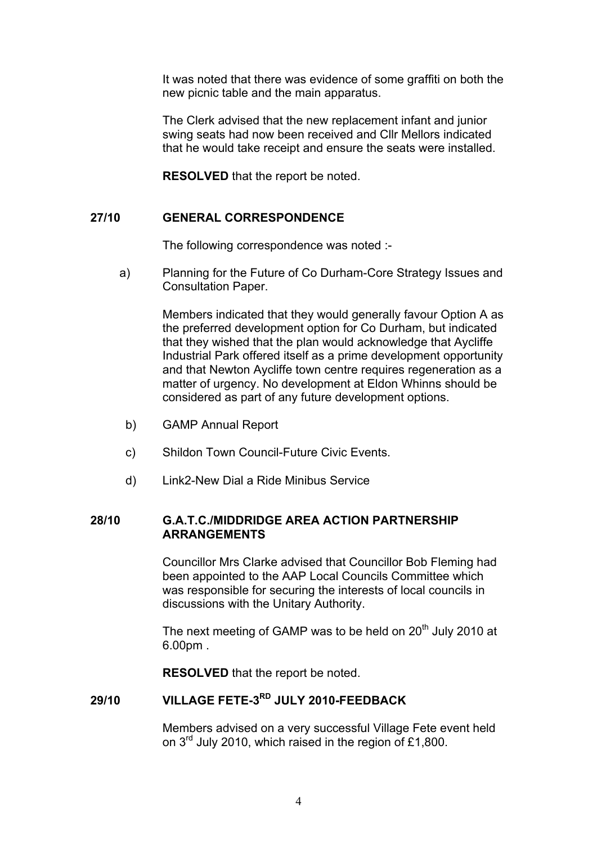It was noted that there was evidence of some graffiti on both the new picnic table and the main apparatus.

The Clerk advised that the new replacement infant and junior swing seats had now been received and Cllr Mellors indicated that he would take receipt and ensure the seats were installed.

**RESOLVED** that the report be noted.

## **27/10 GENERAL CORRESPONDENCE**

The following correspondence was noted :-

a) Planning for the Future of Co Durham-Core Strategy Issues and Consultation Paper.

> Members indicated that they would generally favour Option A as the preferred development option for Co Durham, but indicated that they wished that the plan would acknowledge that Aycliffe Industrial Park offered itself as a prime development opportunity and that Newton Aycliffe town centre requires regeneration as a matter of urgency. No development at Eldon Whinns should be considered as part of any future development options.

- b) GAMP Annual Report
- c) Shildon Town Council-Future Civic Events.
- d) Link2-New Dial a Ride Minibus Service

#### **28/10 G.A.T.C./MIDDRIDGE AREA ACTION PARTNERSHIP ARRANGEMENTS**

Councillor Mrs Clarke advised that Councillor Bob Fleming had been appointed to the AAP Local Councils Committee which was responsible for securing the interests of local councils in discussions with the Unitary Authority.

The next meeting of GAMP was to be held on  $20<sup>th</sup>$  July 2010 at 6.00pm .

**RESOLVED** that the report be noted.

# **29/10 VILLAGE FETE-3RD JULY 2010-FEEDBACK**

Members advised on a very successful Village Fete event held on 3rd July 2010, which raised in the region of £1,800.